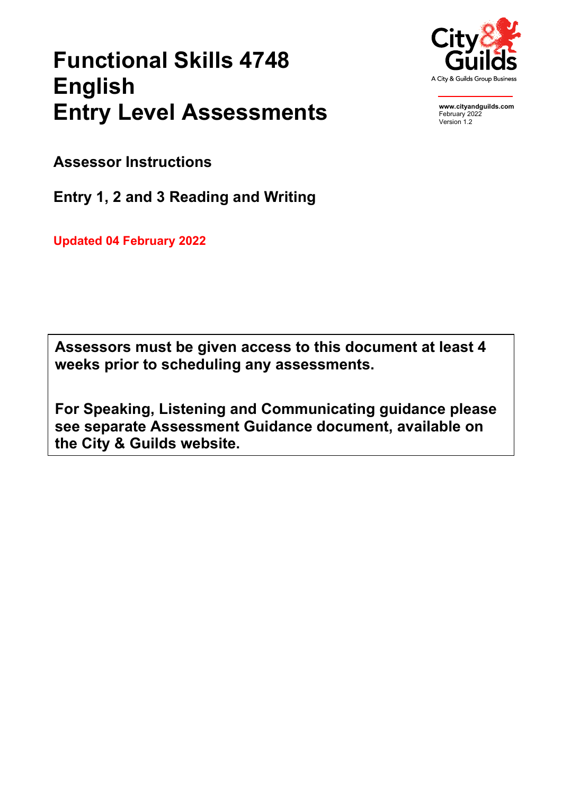# **Functional Skills 4748 English Entry Level Assessments**



**www.cityandguilds.com** February 2022 Version 1.2

**Assessor Instructions**

**Entry 1, 2 and 3 Reading and Writing**

**Updated 04 February 2022**

**Assessors must be given access to this document at least 4 weeks prior to scheduling any assessments.**

**For Speaking, Listening and Communicating guidance please see separate Assessment Guidance document, available on the City & Guilds website.**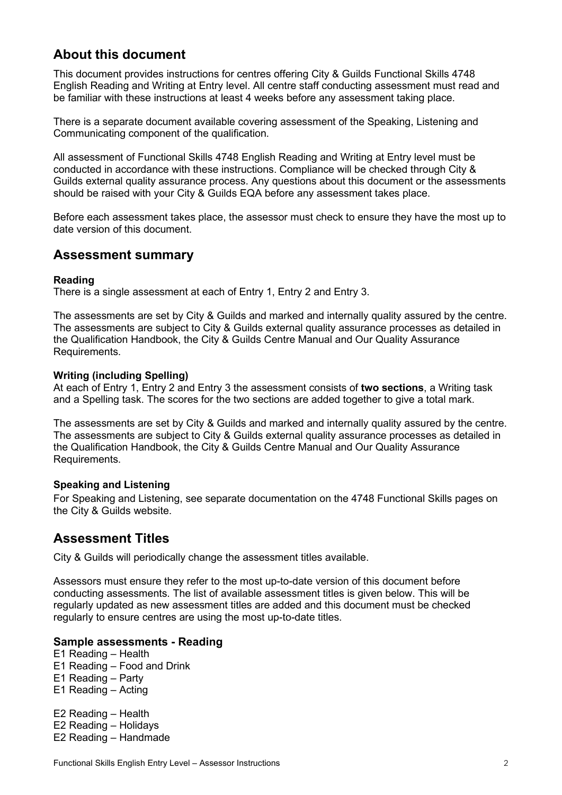# **About this document**

This document provides instructions for centres offering City & Guilds Functional Skills 4748 English Reading and Writing at Entry level. All centre staff conducting assessment must read and be familiar with these instructions at least 4 weeks before any assessment taking place.

There is a separate document available covering assessment of the Speaking, Listening and Communicating component of the qualification.

All assessment of Functional Skills 4748 English Reading and Writing at Entry level must be conducted in accordance with these instructions. Compliance will be checked through City & Guilds external quality assurance process. Any questions about this document or the assessments should be raised with your City & Guilds EQA before any assessment takes place.

Before each assessment takes place, the assessor must check to ensure they have the most up to date version of this document.

## **Assessment summary**

## **Reading**

There is a single assessment at each of Entry 1, Entry 2 and Entry 3.

The assessments are set by City & Guilds and marked and internally quality assured by the centre. The assessments are subject to City & Guilds external quality assurance processes as detailed in the Qualification Handbook, the City & Guilds Centre Manual and Our Quality Assurance Requirements.

#### **Writing (including Spelling)**

At each of Entry 1, Entry 2 and Entry 3 the assessment consists of **two sections**, a Writing task and a Spelling task. The scores for the two sections are added together to give a total mark.

The assessments are set by City & Guilds and marked and internally quality assured by the centre. The assessments are subject to City & Guilds external quality assurance processes as detailed in the Qualification Handbook, the City & Guilds Centre Manual and Our Quality Assurance Requirements.

## **Speaking and Listening**

For Speaking and Listening, see separate documentation on the 4748 Functional Skills pages on the City & Guilds website.

## **Assessment Titles**

City & Guilds will periodically change the assessment titles available.

Assessors must ensure they refer to the most up-to-date version of this document before conducting assessments. The list of available assessment titles is given below. This will be regularly updated as new assessment titles are added and this document must be checked regularly to ensure centres are using the most up-to-date titles.

## **Sample assessments - Reading**

- E1 Reading Health
- E1 Reading Food and Drink
- E1 Reading Party
- E1 Reading Acting

E2 Reading – Health E2 Reading – Holidays E2 Reading – Handmade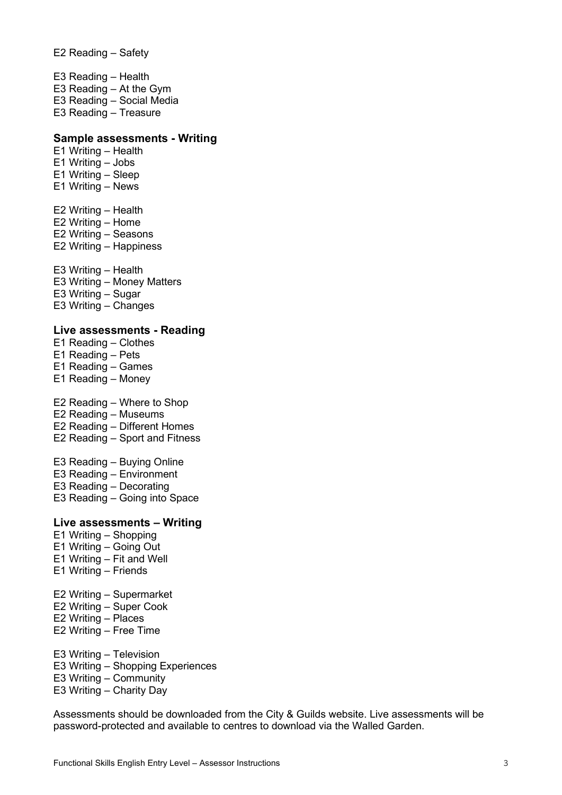E2 Reading – Safety

E3 Reading – Health E3 Reading – At the Gym E3 Reading – Social Media E3 Reading – Treasure

#### **Sample assessments - Writing**

- E1 Writing Health E1 Writing – Jobs E1 Writing – Sleep
- E1 Writing News
- E2 Writing Health
- E2 Writing Home
- E2 Writing Seasons
- E2 Writing Happiness
- E3 Writing Health
- E3 Writing Money Matters
- E3 Writing Sugar
- E3 Writing Changes

#### **Live assessments - Reading**

- E1 Reading Clothes
- E1 Reading Pets
- E1 Reading Games
- E1 Reading Money
- E2 Reading Where to Shop
- E2 Reading Museums
- E2 Reading Different Homes
- E2 Reading Sport and Fitness
- E3 Reading Buying Online
- E3 Reading Environment
- E3 Reading Decorating
- E3 Reading Going into Space

## **Live assessments – Writing**

- E1 Writing Shopping
- E1 Writing Going Out
- E1 Writing Fit and Well
- E1 Writing Friends
- E2 Writing Supermarket
- E2 Writing Super Cook
- E2 Writing Places
- E2 Writing Free Time
- E3 Writing Television
- E3 Writing Shopping Experiences
- E3 Writing Community
- E3 Writing Charity Day

Assessments should be downloaded from the City & Guilds website. Live assessments will be password-protected and available to centres to download via the Walled Garden.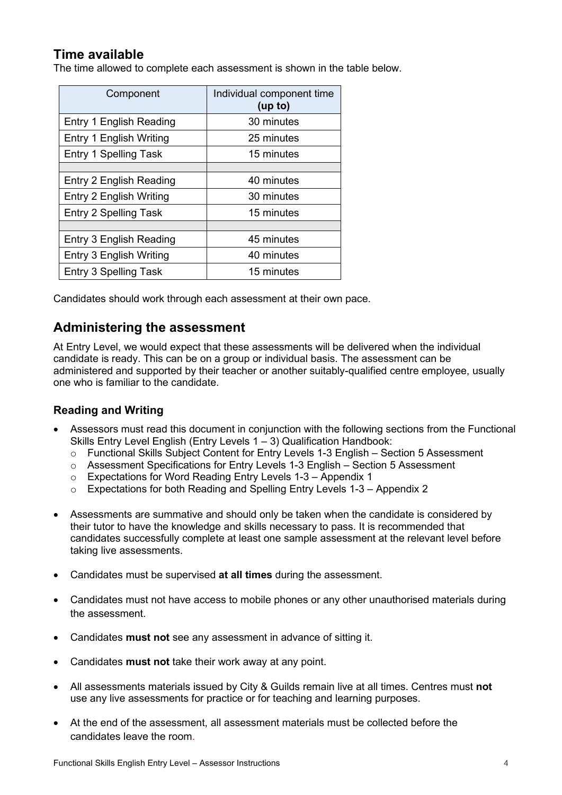# **Time available**

The time allowed to complete each assessment is shown in the table below.

| Component                      | Individual component time<br>(up to) |
|--------------------------------|--------------------------------------|
| Entry 1 English Reading        | 30 minutes                           |
| Entry 1 English Writing        | 25 minutes                           |
| <b>Entry 1 Spelling Task</b>   | 15 minutes                           |
|                                |                                      |
| Entry 2 English Reading        | 40 minutes                           |
| Entry 2 English Writing        | 30 minutes                           |
| <b>Entry 2 Spelling Task</b>   | 15 minutes                           |
|                                |                                      |
| <b>Entry 3 English Reading</b> | 45 minutes                           |
| Entry 3 English Writing        | 40 minutes                           |
| Entry 3 Spelling Task          | 15 minutes                           |

Candidates should work through each assessment at their own pace.

# **Administering the assessment**

At Entry Level, we would expect that these assessments will be delivered when the individual candidate is ready. This can be on a group or individual basis. The assessment can be administered and supported by their teacher or another suitably-qualified centre employee, usually one who is familiar to the candidate.

## **Reading and Writing**

- Assessors must read this document in conjunction with the following sections from the Functional Skills Entry Level English (Entry Levels 1 – 3) Qualification Handbook:
	- $\circ$  Functional Skills Subject Content for Entry Levels 1-3 English Section 5 Assessment
	- $\circ$  Assessment Specifications for Entry Levels 1-3 English Section 5 Assessment
	- o Expectations for Word Reading Entry Levels 1-3 Appendix 1
	- o Expectations for both Reading and Spelling Entry Levels 1-3 Appendix 2
- Assessments are summative and should only be taken when the candidate is considered by their tutor to have the knowledge and skills necessary to pass. It is recommended that candidates successfully complete at least one sample assessment at the relevant level before taking live assessments.
- Candidates must be supervised **at all times** during the assessment.
- Candidates must not have access to mobile phones or any other unauthorised materials during the assessment.
- Candidates **must not** see any assessment in advance of sitting it.
- Candidates **must not** take their work away at any point.
- All assessments materials issued by City & Guilds remain live at all times. Centres must **not** use any live assessments for practice or for teaching and learning purposes.
- At the end of the assessment, all assessment materials must be collected before the candidates leave the room.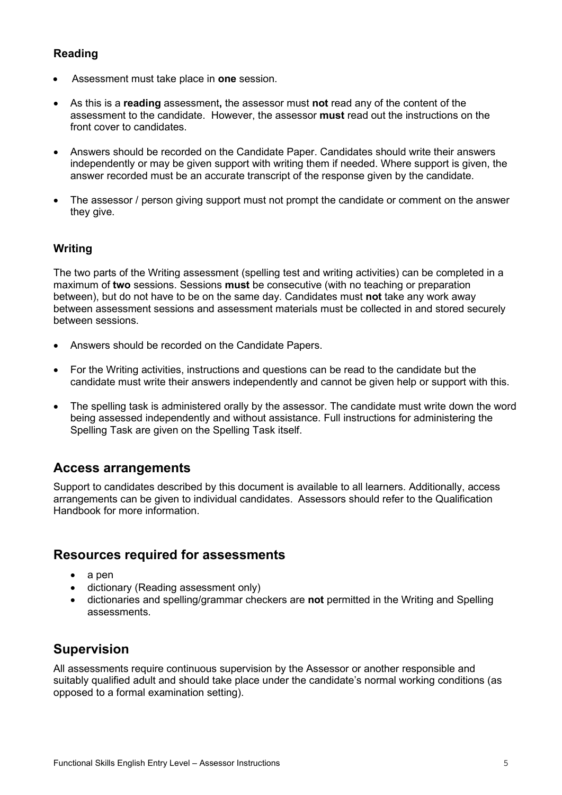## **Reading**

- Assessment must take place in **one** session.
- As this is a **reading** assessment**,** the assessor must **not** read any of the content of the assessment to the candidate. However, the assessor **must** read out the instructions on the front cover to candidates.
- Answers should be recorded on the Candidate Paper. Candidates should write their answers independently or may be given support with writing them if needed. Where support is given, the answer recorded must be an accurate transcript of the response given by the candidate.
- The assessor / person giving support must not prompt the candidate or comment on the answer they give.

## **Writing**

The two parts of the Writing assessment (spelling test and writing activities) can be completed in a maximum of **two** sessions. Sessions **must** be consecutive (with no teaching or preparation between), but do not have to be on the same day. Candidates must **not** take any work away between assessment sessions and assessment materials must be collected in and stored securely between sessions.

- Answers should be recorded on the Candidate Papers.
- For the Writing activities, instructions and questions can be read to the candidate but the candidate must write their answers independently and cannot be given help or support with this.
- The spelling task is administered orally by the assessor. The candidate must write down the word being assessed independently and without assistance. Full instructions for administering the Spelling Task are given on the Spelling Task itself.

# **Access arrangements**

Support to candidates described by this document is available to all learners. Additionally, access arrangements can be given to individual candidates. Assessors should refer to the Qualification Handbook for more information.

## **Resources required for assessments**

- a pen
- dictionary (Reading assessment only)
- dictionaries and spelling/grammar checkers are **not** permitted in the Writing and Spelling assessments.

# **Supervision**

All assessments require continuous supervision by the Assessor or another responsible and suitably qualified adult and should take place under the candidate's normal working conditions (as opposed to a formal examination setting).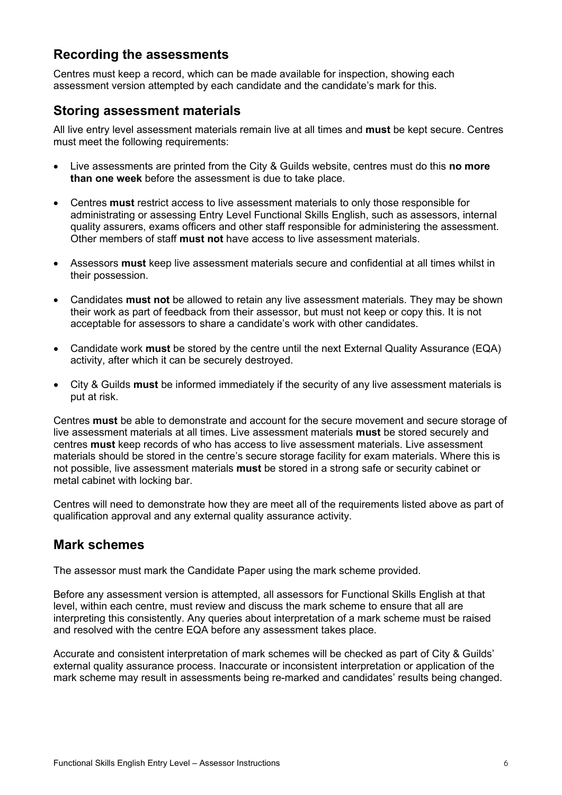# **Recording the assessments**

Centres must keep a record, which can be made available for inspection, showing each assessment version attempted by each candidate and the candidate's mark for this.

# **Storing assessment materials**

All live entry level assessment materials remain live at all times and **must** be kept secure. Centres must meet the following requirements:

- Live assessments are printed from the City & Guilds website, centres must do this **no more than one week** before the assessment is due to take place.
- Centres **must** restrict access to live assessment materials to only those responsible for administrating or assessing Entry Level Functional Skills English, such as assessors, internal quality assurers, exams officers and other staff responsible for administering the assessment. Other members of staff **must not** have access to live assessment materials.
- Assessors **must** keep live assessment materials secure and confidential at all times whilst in their possession.
- Candidates **must not** be allowed to retain any live assessment materials. They may be shown their work as part of feedback from their assessor, but must not keep or copy this. It is not acceptable for assessors to share a candidate's work with other candidates.
- Candidate work **must** be stored by the centre until the next External Quality Assurance (EQA) activity, after which it can be securely destroyed.
- City & Guilds **must** be informed immediately if the security of any live assessment materials is put at risk.

Centres **must** be able to demonstrate and account for the secure movement and secure storage of live assessment materials at all times. Live assessment materials **must** be stored securely and centres **must** keep records of who has access to live assessment materials. Live assessment materials should be stored in the centre's secure storage facility for exam materials. Where this is not possible, live assessment materials **must** be stored in a strong safe or security cabinet or metal cabinet with locking bar.

Centres will need to demonstrate how they are meet all of the requirements listed above as part of qualification approval and any external quality assurance activity.

# **Mark schemes**

The assessor must mark the Candidate Paper using the mark scheme provided.

Before any assessment version is attempted, all assessors for Functional Skills English at that level, within each centre, must review and discuss the mark scheme to ensure that all are interpreting this consistently. Any queries about interpretation of a mark scheme must be raised and resolved with the centre EQA before any assessment takes place.

Accurate and consistent interpretation of mark schemes will be checked as part of City & Guilds' external quality assurance process. Inaccurate or inconsistent interpretation or application of the mark scheme may result in assessments being re-marked and candidates' results being changed.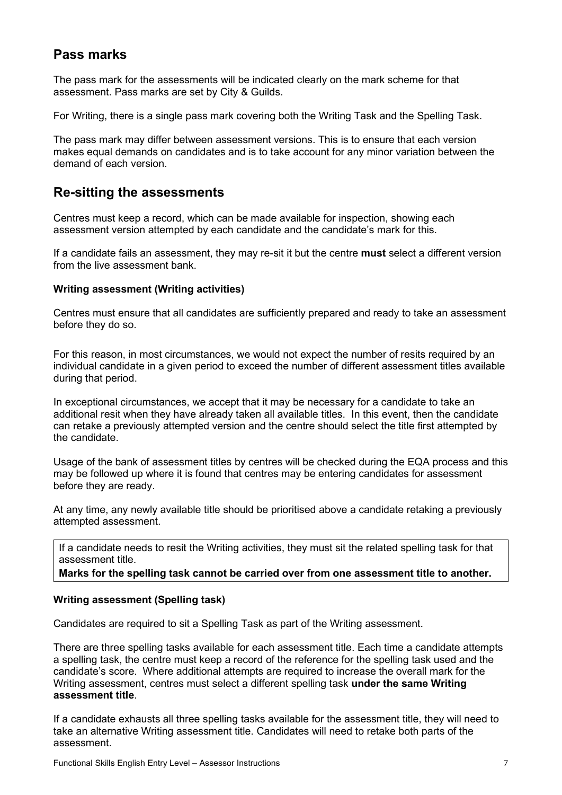# **Pass marks**

The pass mark for the assessments will be indicated clearly on the mark scheme for that assessment. Pass marks are set by City & Guilds.

For Writing, there is a single pass mark covering both the Writing Task and the Spelling Task.

The pass mark may differ between assessment versions. This is to ensure that each version makes equal demands on candidates and is to take account for any minor variation between the demand of each version.

# **Re-sitting the assessments**

Centres must keep a record, which can be made available for inspection, showing each assessment version attempted by each candidate and the candidate's mark for this.

If a candidate fails an assessment, they may re-sit it but the centre **must** select a different version from the live assessment bank.

## **Writing assessment (Writing activities)**

Centres must ensure that all candidates are sufficiently prepared and ready to take an assessment before they do so.

For this reason, in most circumstances, we would not expect the number of resits required by an individual candidate in a given period to exceed the number of different assessment titles available during that period.

In exceptional circumstances, we accept that it may be necessary for a candidate to take an additional resit when they have already taken all available titles. In this event, then the candidate can retake a previously attempted version and the centre should select the title first attempted by the candidate.

Usage of the bank of assessment titles by centres will be checked during the EQA process and this may be followed up where it is found that centres may be entering candidates for assessment before they are ready.

At any time, any newly available title should be prioritised above a candidate retaking a previously attempted assessment.

If a candidate needs to resit the Writing activities, they must sit the related spelling task for that assessment title.

## **Marks for the spelling task cannot be carried over from one assessment title to another.**

## **Writing assessment (Spelling task)**

Candidates are required to sit a Spelling Task as part of the Writing assessment.

There are three spelling tasks available for each assessment title. Each time a candidate attempts a spelling task, the centre must keep a record of the reference for the spelling task used and the candidate's score. Where additional attempts are required to increase the overall mark for the Writing assessment, centres must select a different spelling task **under the same Writing assessment title**.

If a candidate exhausts all three spelling tasks available for the assessment title, they will need to take an alternative Writing assessment title. Candidates will need to retake both parts of the assessment.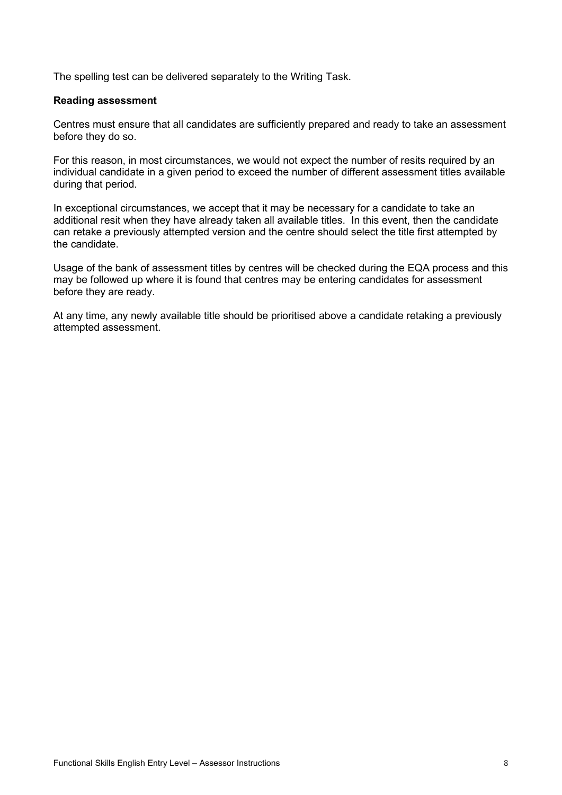The spelling test can be delivered separately to the Writing Task.

#### **Reading assessment**

Centres must ensure that all candidates are sufficiently prepared and ready to take an assessment before they do so.

For this reason, in most circumstances, we would not expect the number of resits required by an individual candidate in a given period to exceed the number of different assessment titles available during that period.

In exceptional circumstances, we accept that it may be necessary for a candidate to take an additional resit when they have already taken all available titles. In this event, then the candidate can retake a previously attempted version and the centre should select the title first attempted by the candidate.

Usage of the bank of assessment titles by centres will be checked during the EQA process and this may be followed up where it is found that centres may be entering candidates for assessment before they are ready.

At any time, any newly available title should be prioritised above a candidate retaking a previously attempted assessment.